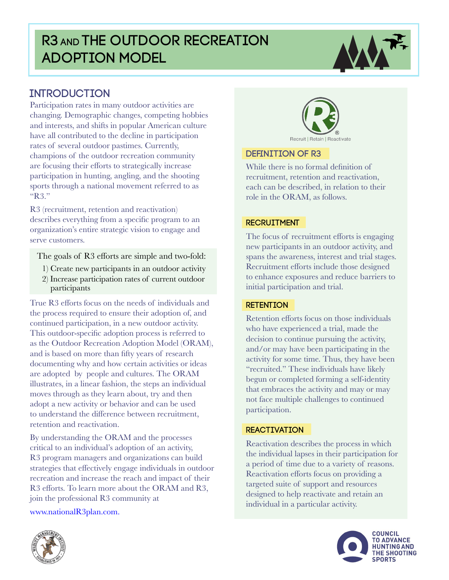# R3 AND THE OUTDOOR RECREATION Adoption Model



Participation rates in many outdoor activities are changing. Demographic changes, competing hobbies and interests, and shifts in popular American culture have all contributed to the decline in participation rates of several outdoor pastimes. Currently, champions of the outdoor recreation community are focusing their efforts to strategically increase participation in hunting, angling, and the shooting sports through a national movement referred to as "R3."

R3 (recruitment, retention and reactivation) describes everything from a specific program to an organization's entire strategic vision to engage and serve customers.

The goals of R3 efforts are simple and two-fold:

- 1) Create new participants in an outdoor activity
- 2) Increase participation rates of current outdoor participants

True R3 efforts focus on the needs of individuals and the process required to ensure their adoption of, and continued participation, in a new outdoor activity. This outdoor-specific adoption process is referred to as the Outdoor Recreation Adoption Model (ORAM), and is based on more than fifty years of research documenting why and how certain activities or ideas are adopted by people and cultures. The ORAM illustrates, in a linear fashion, the steps an individual moves through as they learn about, try and then adopt a new activity or behavior and can be used to understand the difference between recruitment, retention and reactivation.

By understanding the ORAM and the processes critical to an individual's adoption of an activity, R3 program managers and organizations can build strategies that effectively engage individuals in outdoor recreation and increase the reach and impact of their R3 efforts. To learn more about the ORAM and R3, join the professional R3 community at

[www.nationalR3plan.com.](http://www.nationalR3plan.com)



#### Definition of R3

While there is no formal definition of recruitment, retention and reactivation, each can be described, in relation to their role in the ORAM, as follows.

#### **RECRUITMENT**

spans the awareness, interest and trial stages.  $\mathcal{S}$ The focus of recruitment efforts is engaging new participants in an outdoor activity, and Recruitment efforts include those designed to enhance exposures and reduce barriers to initial participation and trial.

#### **RETENTION**

 $\alpha$  decision to continue pursuing the activity, begun or completed forming a self-identity Retention efforts focus on those individuals who have experienced a trial, made the and/or may have been participating in the activity for some time. Thus, they have been "recruited." These individuals have likely that embraces the activity and may or may not face multiple challenges to continued participation.

#### **REACTIVATION**

WITH the individual lapses in their participation for are manifesta appear in their paraceptation to: Reactivation describes the process in which Reactivation efforts focus on providing a targeted suite of support and resources designed to help reactivate and retain an individual in a particular activity.



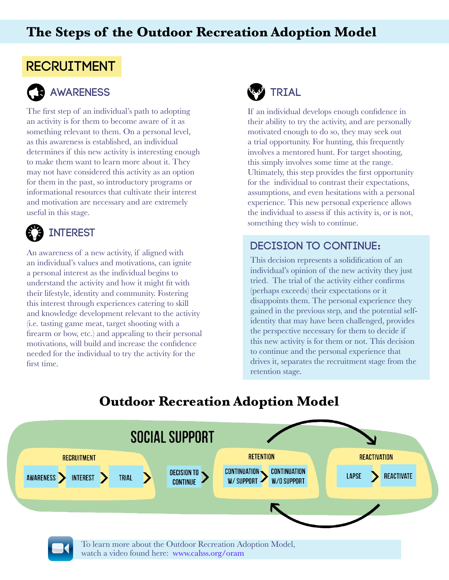## **The Steps of the Outdoor Recreation Adoption Model**

# RECRUITMENT



# Awareness

The first step of an individual's path to adopting an activity is for them to become aware of it as something relevant to them. On a personal level, as this awareness is established, an individual determines if this new activity is interesting enough to make them want to learn more about it. They may not have considered this activity as an option  $\epsilon_{\text{on}}$  then in the next, so introduce the convergence onfor them in the past, so introductory programs or for them in the past, so introductory programs or<br>informational resources that cultivate their interest and motivation are necessary and are extremely useful in this stage.

#### **B** INTEREST AWARENESS

An awareness of a new activity, if aligned with an individual's values and motivations, can ignite a personal interest as the individual begins to understand the activity and how it might fit with their lifestyle, identity and community. Fostering this interest through experiences catering to skill and knowledge development relevant to the activity (i.e. tasting game meat, target shooting with a firearm or bow, etc.) and appealing to their personal motivations, will build and increase the confidence needed for the individual to try the activity for the first time.



If an individual develops enough confidence in their ability to try the activity, and are personally motivated enough to do so, they may seek out a trial opportunity. For hunting, this frequently involves a mentored hunt. For target shooting, this simply involves some time at the range. Ultimately, this step provides the first opportunity for the individual to contrast their expectations, assumptions, and even hesitations with a personal experience. This new personal experience allows the individual to assess if this activity is, or is not, something they wish to continue.

### Decision to Continue**:**

This decision represents a solidification of an individual's opinion of the new activity they just tried. The trial of the activity either confirms (perhaps exceeds) their expectations or it disappoints them. The personal experience they gained in the previous step, and the potential selfidentity that may have been challenged, provides the perspective necessary for them to decide if this new activity is for them or not. This decision to continue and the personal experience that drives it, separates the recruitment stage from the retention stage.

# **Outdoor Recreation Adoption Model**

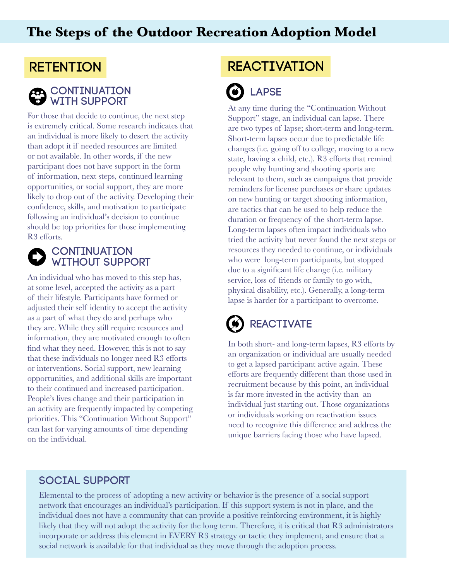## **The Steps of the Outdoor Recreation Adoption Model**

## **RETENTION**



# **A** CONTINUATION WITH SUPPORT

For those that decide to continue, the next step is extremely critical. Some research indicates that an individual is more likely to desert the activity than adopt it if needed resources are limited or not available. In other words, if the new participant does not have support in the form of information, next steps, continued learning opportunities, or social support, they are more likely to drop out of the activity. Developing their confidence, skills, and motivation to participate following an individual's decision to continue should be top priorities for those implementing R3 efforts.  $\overline{\phantom{a}}$ 

#### $\overline{1}$ **CONTINUATION**  without Support RETENTION

An individual who has moved to this step has, at some level, accepted the activity as a part of their lifestyle. Participants have formed or adjusted their self identity to accept the activity adjusted their sent identity to accept the acu<br>as a part of what they do and perhaps who they are. While they still require resources and information, they are motivated enough to often find what they need. However, this is not to say that these individuals no longer need R3 efforts or interventions. Social support, new learning opportunities, and additional skills are important to their continued and increased participation. People's lives change and their participation in an activity are frequently impacted by competing priorities. This "Continuation Without Support" can last for varying amounts of time depending on the individual. nno<br>Recruit  $\overline{\phantom{a}}$ 

# REACTIVATION

# **B** LAPSE

At any time during the "Continuation Without Support" stage, an individual can lapse. There are two types of lapse; short-term and long-term. Short-term lapses occur due to predictable life changes (i.e. going off to college, moving to a new state, having a child, etc.). R3 efforts that remind people why hunting and shooting sports are relevant to them, such as campaigns that provide reminders for license purchases or share updates on new hunting or target shooting information, are tactics that can be used to help reduce the duration or frequency of the short-term lapse. Long-term lapses often impact individuals who tried the activity but never found the next steps or resources they needed to continue, or individuals who were long-term participants, but stopped due to a significant life change (i.e. military service, loss of friends or family to go with, physical disability, etc.). Generally, a long-term lapse is harder for a participant to overcome.

#### Í **REACTIVATE**

In both short- and long-term lapses, R3 efforts by an organization or individual are usually needed to get a lapsed participant active again. These efforts are frequently different than those used in recruitment because by this point, an individual is far more invested in the activity than an individual just starting out. Those organizations or individuals working on reactivation issues need to recognize this difference and address the unique barriers facing those who have lapsed.

#### SOCIAL SUPPORT

 $F_{\text{lamer}}$ Elemental to the process of adopting a new activity or behavior is the presence of a social support incorporate or address this element in EVERY R3 strategy or tactic they implement, and ensure that a network that encourages an individual's participation. If this support system is not in place, and the individual does not have a community that can provide a positive reinforcing environment, it is highly likely that they will not adopt the activity for the long term. Therefore, it is critical that R3 administrators social network is available for that individual as they move through the adoption process.